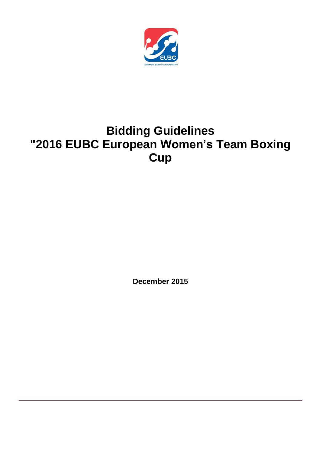

# **Bidding Guidelines "2016 EUBC European Women's Team Boxing Cup**

**December 2015**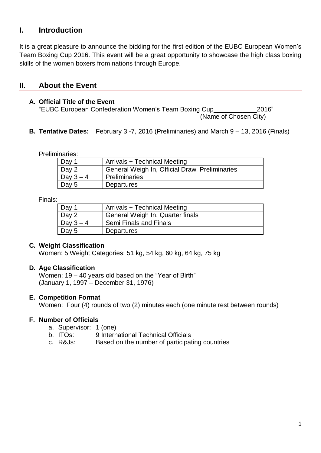# **I. Introduction**

It is a great pleasure to announce the bidding for the first edition of the EUBC European Women's Team Boxing Cup 2016. This event will be a great opportunity to showcase the high class boxing skills of the women boxers from nations through Europe.

# **II. About the Event**

## **A. Official Title of the Event**

"EUBC European Confederation Women's Team Boxing Cup\_\_\_\_\_\_\_\_\_\_\_\_2016" (Name of Chosen City)

**B. Tentative Dates:** February 3 -7, 2016 (Preliminaries) and March 9 – 13, 2016 (Finals)

Preliminaries:

| Day 1     | Arrivals + Technical Meeting                   |
|-----------|------------------------------------------------|
| Day 2     | General Weigh In, Official Draw, Preliminaries |
| Day $3-4$ | Preliminaries                                  |
| Day 5     | <b>Departures</b>                              |

Finals:

| Day 1     | Arrivals + Technical Meeting     |
|-----------|----------------------------------|
| Day 2     | General Weigh In, Quarter finals |
| Day $3-4$ | <b>Semi Finals and Finals</b>    |
| Day $5$   | Departures                       |

## **C. Weight Classification**

Women: 5 Weight Categories: 51 kg, 54 kg, 60 kg, 64 kg, 75 kg

## **D. Age Classification**

Women: 19 – 40 years old based on the "Year of Birth" (January 1, 1997 – December 31, 1976)

## **E. Competition Format**

Women: Four (4) rounds of two (2) minutes each (one minute rest between rounds)

## **F. Number of Officials**

- a. Supervisor: 1 (one)
- b. ITOs: 9 International Technical Officials
- c. R&Js: Based on the number of participating countries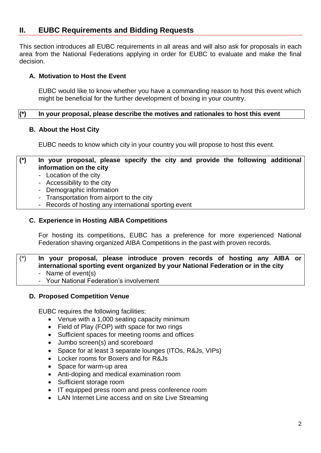# **II. EUBC Requirements and Bidding Requests**

This section introduces all EUBC requirements in all areas and will also ask for proposals in each area from the National Federations applying in order for EUBC to evaluate and make the final decision.

# **A. Motivation to Host the Event**

EUBC would like to know whether you have a commanding reason to host this event which might be beneficial for the further development of boxing in your country.

## **(\*) In your proposal, please describe the motives and rationales to host this event**

## **B. About the Host City**

EUBC needs to know which city in your country you will propose to host this event.

#### **(\*) In your proposal, please specify the city and provide the following additional information on the city**

- Location of the city
- Accessibility to the city
- Demographic information
- Transportation from airport to the city
- Records of hosting any international sporting event

# **C. Experience in Hosting AIBA Competitions**

For hosting its competitions, EUBC has a preference for more experienced National Federation shaving organized AIBA Competitions in the past with proven records.

# (\*) **In your proposal, please introduce proven records of hosting any AIBA or international sporting event organized by your National Federation or in the city**

- Name of event(s)
- Your National Federation's involvement

## **D. Proposed Competition Venue**

EUBC requires the following facilities:

- Venue with a 1,000 seating capacity minimum
- Field of Play (FOP) with space for two rings
- Sufficient spaces for meeting rooms and offices
- Jumbo screen(s) and scoreboard
- Space for at least 3 separate lounges (ITOs, R&Js, VIPs)
- Locker rooms for Boxers and for R&Js
- Space for warm-up area
- Anti-doping and medical examination room
- Sufficient storage room
- IT equipped press room and press conference room
- LAN Internet Line access and on site Live Streaming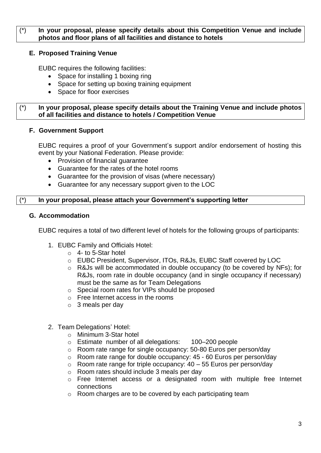# (\*) **In your proposal, please specify details about this Competition Venue and include photos and floor plans of all facilities and distance to hotels**

# **E. Proposed Training Venue**

EUBC requires the following facilities:

- Space for installing 1 boxing ring
- Space for setting up boxing training equipment
- Space for floor exercises

#### (\*) **In your proposal, please specify details about the Training Venue and include photos of all facilities and distance to hotels / Competition Venue**

# **F. Government Support**

EUBC requires a proof of your Government's support and/or endorsement of hosting this event by your National Federation. Please provide:

- Provision of financial guarantee
- Guarantee for the rates of the hotel rooms
- Guarantee for the provision of visas (where necessary)
- Guarantee for any necessary support given to the LOC

# (\*) **In your proposal, please attach your Government's supporting letter**

## **G. Accommodation**

EUBC requires a total of two different level of hotels for the following groups of participants:

- 1. EUBC Family and Officials Hotel:
	- $\circ$  4- to 5-Star hotel
	- o EUBC President, Supervisor, ITOs, R&Js, EUBC Staff covered by LOC
	- o R&Js will be accommodated in double occupancy (to be covered by NFs); for R&Js, room rate in double occupancy (and in single occupancy if necessary) must be the same as for Team Delegations
	- o Special room rates for VIPs should be proposed
	- o Free Internet access in the rooms
	- $\circ$  3 meals per day
- 2. Team Delegations' Hotel:
	- o Minimum 3-Star hotel
	- o Estimate number of all delegations: 100–200 people
	- o Room rate range for single occupancy: 50-80 Euros per person/day
	- o Room rate range for double occupancy: 45 60 Euros per person/day
	- $\circ$  Room rate range for triple occupancy: 40 55 Euros per person/day
	- o Room rates should include 3 meals per day
	- o Free Internet access or a designated room with multiple free Internet connections
	- o Room charges are to be covered by each participating team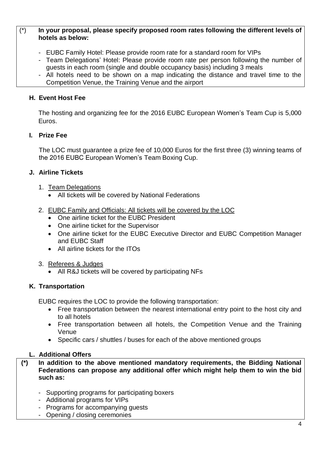# (\*) **In your proposal, please specify proposed room rates following the different levels of hotels as below:**

- EUBC Family Hotel: Please provide room rate for a standard room for VIPs
- Team Delegations' Hotel: Please provide room rate per person following the number of guests in each room (single and double occupancy basis) including 3 meals
- All hotels need to be shown on a map indicating the distance and travel time to the Competition Venue, the Training Venue and the airport

# **H. Event Host Fee**

The hosting and organizing fee for the 2016 EUBC European Women's Team Cup is 5,000 Euros.

# **I. Prize Fee**

The LOC must guarantee a prize fee of 10,000 Euros for the first three (3) winning teams of the 2016 EUBC European Women's Team Boxing Cup.

# **J. Airline Tickets**

- 1. Team Delegations
	- All tickets will be covered by National Federations
- 2. EUBC Family and Officials: All tickets will be covered by the LOC
	- One airline ticket for the EUBC President
	- One airline ticket for the Supervisor
	- One airline ticket for the EUBC Executive Director and EUBC Competition Manager and EUBC Staff
	- All airline tickets for the ITOs
- 3. Referees & Judges
	- All R&J tickets will be covered by participating NFs

# **K. Transportation**

EUBC requires the LOC to provide the following transportation:

- Free transportation between the nearest international entry point to the host city and to all hotels
- Free transportation between all hotels, the Competition Venue and the Training Venue
- Specific cars / shuttles / buses for each of the above mentioned groups

# **L. Additional Offers**

- **(\*) In addition to the above mentioned mandatory requirements, the Bidding National Federations can propose any additional offer which might help them to win the bid such as:**
	- Supporting programs for participating boxers
	- Additional programs for VIPs
	- Programs for accompanying guests
	- Opening / closing ceremonies